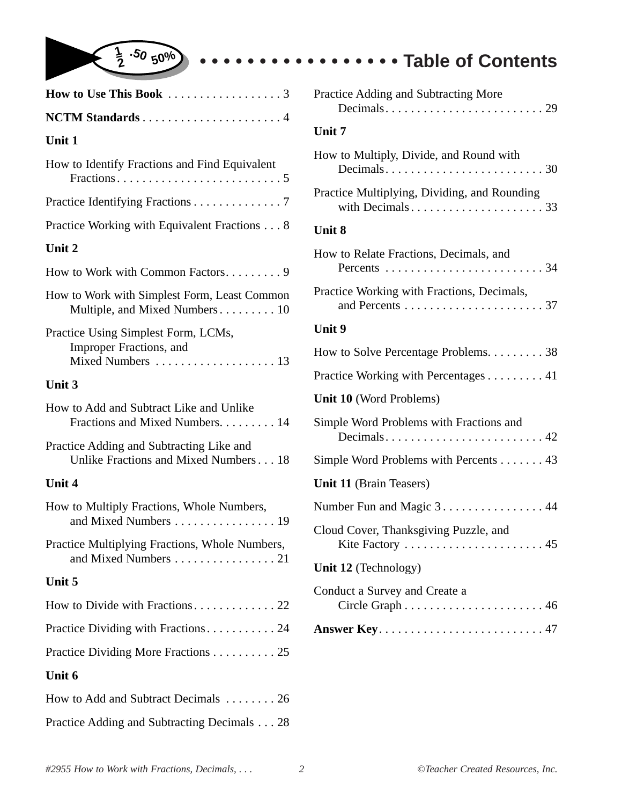

| NCTM Standards4                                                                   |
|-----------------------------------------------------------------------------------|
| Unit 1                                                                            |
| How to Identify Fractions and Find Equivalent                                     |
| Practice Identifying Fractions 7                                                  |
| Practice Working with Equivalent Fractions 8                                      |
| Unit 2                                                                            |
| How to Work with Common Factors 9                                                 |
| How to Work with Simplest Form, Least Common<br>Multiple, and Mixed Numbers 10    |
| Practice Using Simplest Form, LCMs,<br>Improper Fractions, and                    |
| Unit 3                                                                            |
| How to Add and Subtract Like and Unlike<br>Fractions and Mixed Numbers. 14        |
| Practice Adding and Subtracting Like and<br>Unlike Fractions and Mixed Numbers 18 |
| Unit 4                                                                            |
| How to Multiply Fractions, Whole Numbers,<br>and Mixed Numbers 19                 |
| Practice Multiplying Fractions, Whole Numbers,<br>and Mixed Numbers 21            |
| Unit 5                                                                            |
|                                                                                   |
| Practice Dividing with Fractions 24                                               |
| Practice Dividing More Fractions 25                                               |
| Unit 6                                                                            |
| How to Add and Subtract Decimals 26                                               |

| Practice Adding and Subtracting More         |
|----------------------------------------------|
| Unit 7                                       |
| How to Multiply, Divide, and Round with      |
| Practice Multiplying, Dividing, and Rounding |
| <b>Unit 8</b>                                |
| How to Relate Fractions, Decimals, and       |
| Practice Working with Fractions, Decimals,   |
| <b>Unit 9</b>                                |
| How to Solve Percentage Problems. 38         |
| Practice Working with Percentages 41         |
| Unit 10 (Word Problems)                      |
| Simple Word Problems with Fractions and      |
| Simple Word Problems with Percents 43        |
| Unit 11 (Brain Teasers)                      |
| Number Fun and Magic 3. 44                   |
| Cloud Cover, Thanksgiving Puzzle, and        |
| Unit 12 (Technology)                         |
| Conduct a Survey and Create a                |
|                                              |
|                                              |
|                                              |

**• • • • • • • • • • • • • • • • • Table of Contents**

Practice Adding and Subtracting Decimals . . . 28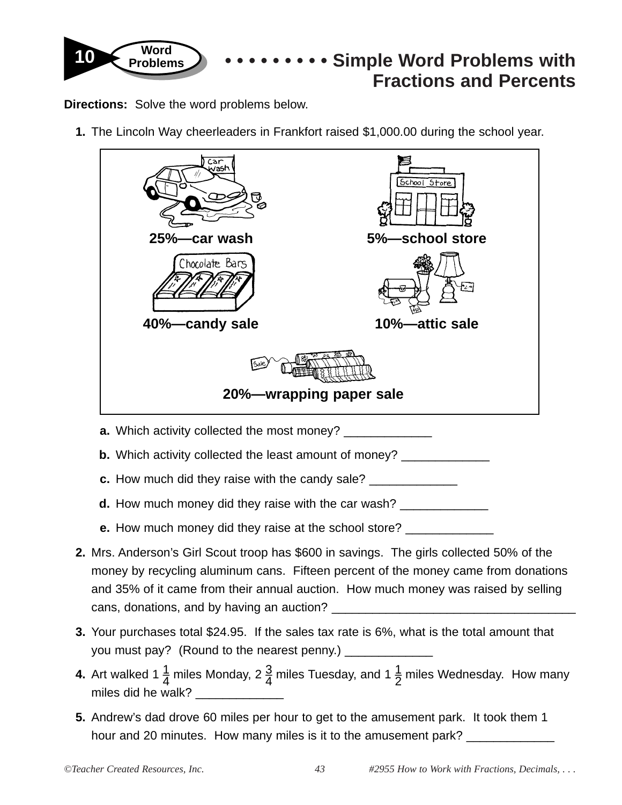

**Directions:** Solve the word problems below.

**1.** The Lincoln Way cheerleaders in Frankfort raised \$1,000.00 during the school year.



- **b.** Which activity collected the least amount of money? \_\_\_\_\_\_\_\_\_\_\_\_\_\_\_\_\_\_\_\_\_\_\_\_
- **c.** How much did they raise with the candy sale? \_\_\_\_\_\_\_\_\_
- **d.** How much money did they raise with the car wash?
- **e.** How much money did they raise at the school store?
- **2.** Mrs. Anderson's Girl Scout troop has \$600 in savings. The girls collected 50% of the money by recycling aluminum cans. Fifteen percent of the money came from donations and 35% of it came from their annual auction. How much money was raised by selling cans, donations, and by having an auction?
- **3.** Your purchases total \$24.95. If the sales tax rate is 6%, what is the total amount that you must pay? (Round to the nearest penny.)
- **4.** Art walked 1  $\frac{1}{4}$  miles Monday, 2  $\frac{3}{4}$  miles Tuesday, and 1  $\frac{1}{2}$  miles Wednesday. How many miles did he walk?
- **5.** Andrew's dad drove 60 miles per hour to get to the amusement park. It took them 1 hour and 20 minutes. How many miles is it to the amusement park?